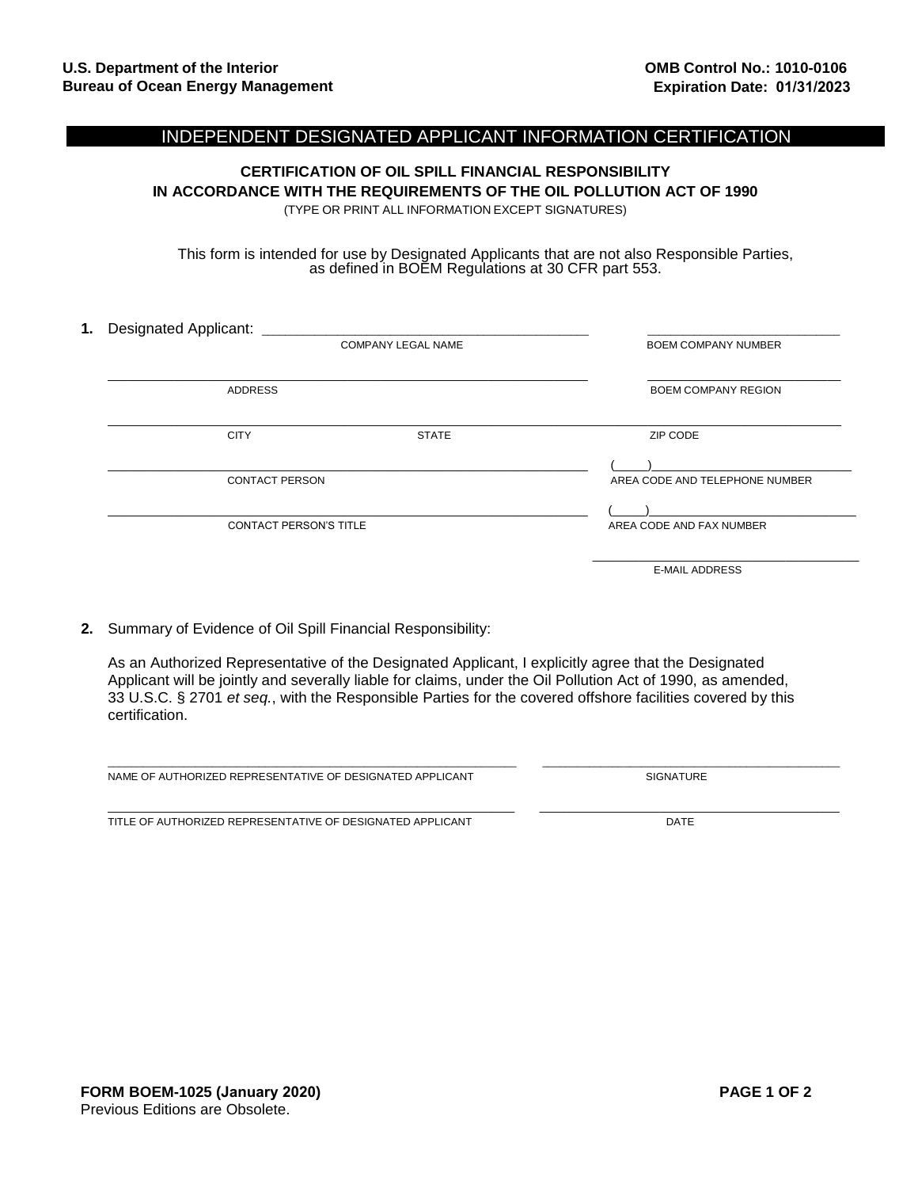## INDEPENDENT DESIGNATED APPLICANT INFORMATION CERTIFICATION

**CERTIFICATION OF OIL SPILL FINANCIAL RESPONSIBILITY IN ACCORDANCE WITH THE REQUIREMENTS OF THE OIL POLLUTION ACT OF 1990** (TYPE OR PRINT ALL INFORMATION EXCEPT SIGNATURES)

This form is intended for use by Designated Applicants that are not also Responsible Parties, as defined in BOEM Regulations at 30 CFR part 553.

| <b>Designated Applicant:</b><br>1. |                           |                                |
|------------------------------------|---------------------------|--------------------------------|
|                                    | <b>COMPANY LEGAL NAME</b> | <b>BOEM COMPANY NUMBER</b>     |
| <b>ADDRESS</b>                     |                           | <b>BOEM COMPANY REGION</b>     |
| <b>CITY</b>                        | <b>STATE</b>              | ZIP CODE                       |
| <b>CONTACT PERSON</b>              |                           | AREA CODE AND TELEPHONE NUMBER |
| <b>CONTACT PERSON'S TITLE</b>      |                           | AREA CODE AND FAX NUMBER       |
|                                    |                           | <b>E-MAIL ADDRESS</b>          |

**2.** Summary of Evidence of Oil Spill Financial Responsibility:

As an Authorized Representative of the Designated Applicant, I explicitly agree that the Designated Applicant will be jointly and severally liable for claims, under the Oil Pollution Act of 1990, as amended, 33 U.S.C. § 2701 *et seq.*, with the Responsible Parties for the covered offshore facilities covered by this certification.

\_\_\_\_\_\_\_\_\_\_\_\_\_\_\_\_\_\_\_\_\_\_\_\_\_\_\_\_\_\_\_\_\_\_\_\_\_\_\_\_\_\_\_\_\_\_\_\_\_\_\_\_\_\_\_\_\_\_\_\_\_\_\_\_\_\_\_\_\_\_ \_\_\_\_\_\_\_\_\_\_\_\_\_\_\_\_\_\_\_\_\_\_\_\_\_\_\_\_\_\_\_\_\_\_\_\_\_\_\_\_\_\_\_\_\_\_\_\_\_\_\_

\_\_\_\_\_\_\_\_\_\_\_\_\_\_\_\_\_\_\_\_\_\_\_\_\_\_\_\_\_\_\_\_\_\_\_\_\_\_\_\_\_\_\_\_\_\_\_\_\_\_\_\_\_\_\_\_\_\_\_\_\_ \_\_\_\_\_\_\_\_\_\_\_\_\_\_\_\_\_\_\_\_\_\_\_\_\_\_\_\_\_\_\_\_\_\_\_\_\_\_\_\_\_\_\_\_\_

SIGNATURE

TITLE OF AUTHORIZED REPRESENTATIVE OF DESIGNATED APPLICANT DATE